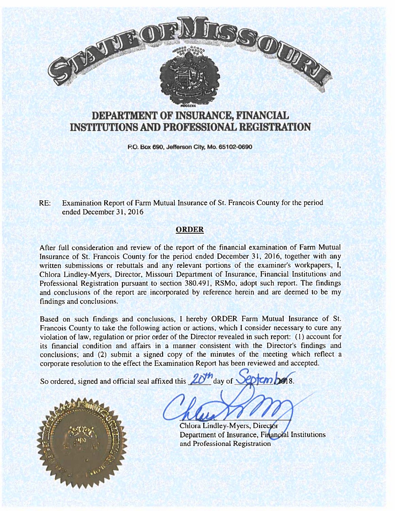

# DEPARTMENT OF iNSURANCE, FINANCIAL INSTITUTIONS AND PROFESSIONAL REGISTRATION

P.O. Box 690, Jefferson City, Mo. 65102-0690

RE: Examination Report of Farm Mutual Insurance of St. Francois County for the period ended December 31, 2016

#### ORDER

After full consideration and review of the repor<sup>t</sup> of the financial examination of Farm Mutual Insurance of St. Francois County for the period ended December 31, 2016, together with any written submissions or rebuttals and any relevant portions of the examiner's workpapers, I, Chiora Lindley-Myers, Director, Missouri Department of Insurance, Financial Institutions and Professional Registration pursuant to section 380.491, RSMo, adopt such report. The findings and conclusions of the repor<sup>t</sup> are incorporated by reference herein and are deemed to be my findings and conclusions.

Based on such findings and conclusions. <sup>I</sup> hereby ORDER Farm Mutual Insurance of St. Francois County to take the following action or actions, which <sup>I</sup> consider necessary to cure any violation of law, regulation or prior order of the Director revealed in such report: (1) account for its financial condition and affairs in <sup>a</sup> manner consistent with the Director's findings and conclusions: and (2) submit <sup>a</sup> signed copy of the minutes of the meeting which reflect <sup>a</sup> corporate resolution to the effect the Examination Report has been reviewed and accepted.

So ordered, signed and official seal affixed this  $2d^2$  day of  $\sqrt{\omega |cm|}$  and 8.



Chlora Lindley-Myers, Director Department of Insurance, Financial Institutions and Professional Registration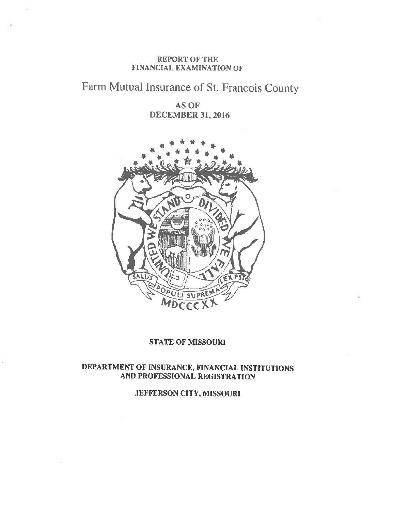#### REPORT OF THE FINANCIAL EXAMINATION OF

# Farm Mutual Insurance of St. Francois County

AS OF DECEMBER 31, 2016



#### STATE OF MISSOURI

# DEPARTMENT OF INSURANCE, FINANCIAL INSTITUTIONS AND PROFESSIONAL REGISTRATION

JEFFERSON CITY, MISSOURI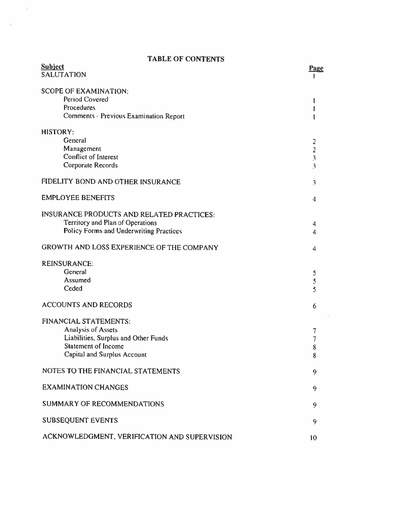# TABLE OF CONTENTS

 $\sim 10^6$ 

 $\mathcal{L}^{\mathcal{L}}$  , and  $\mathcal{L}^{\mathcal{L}}$ 

| <b>Subject</b>                                   | Page                    |
|--------------------------------------------------|-------------------------|
| <b>SALUTATION</b>                                |                         |
| <b>SCOPE OF EXAMINATION:</b>                     |                         |
| Period Covered                                   |                         |
| Procedures                                       |                         |
| Comments - Previous Examination Report           |                         |
| <b>HISTORY:</b>                                  |                         |
| General                                          | $\overline{c}$          |
| Management                                       | $\frac{2}{3}$           |
| Conflict of Interest                             |                         |
| Corporate Records                                | $\overline{\mathbf{3}}$ |
| FIDELITY BOND AND OTHER INSURANCE                | 3                       |
| <b>EMPLOYEE BENEFITS</b>                         | $\overline{\bf{4}}$     |
| <b>INSURANCE PRODUCTS AND RELATED PRACTICES:</b> |                         |
| Territory and Plan of Operations                 | 4                       |
| Policy Forms and Underwriting Practices          | 4                       |
| GROWTH AND LOSS EXPERIENCE OF THE COMPANY        | 4                       |
| <b>REINSURANCE:</b>                              |                         |
| General                                          | 5                       |
| Assumed                                          | 5                       |
| Ceded                                            | $\overline{\mathsf{S}}$ |
| <b>ACCOUNTS AND RECORDS</b>                      | 6                       |
| <b>FINANCIAL STATEMENTS:</b>                     |                         |
| Analysis of Assets                               | 7                       |
| Liabilities, Surplus and Other Funds             | 7                       |
| <b>Statement of Income</b>                       | 8                       |
| Capital and Surplus Account                      | 8                       |
| NOTES TO THE FINANCIAL STATEMENTS                | 9                       |
| <b>EXAMINATION CHANGES</b>                       | 9                       |
| <b>SUMMARY OF RECOMMENDATIONS</b>                | 9                       |
| <b>SUBSEQUENT EVENTS</b>                         | 9                       |
| ACKNOWLEDGMENT, VERIFICATION AND SUPERVISION     | 10                      |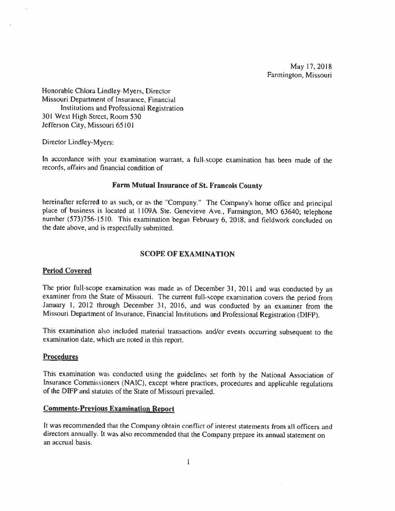May 17, 2018 Farmingion, Missouri

Honorable Chlora Lindley-Myers, Director Missouri Department of Insurance, Financial Institutions and Professional Registration 301 West High Street, Room 530 Jefferson City, Missouri 65101

Director Lindley-Myers:

In accordance with your examination warrant, <sup>a</sup> full-scope examination has been made of the records, affairs and financial condition of

#### Farm Mutual Insurance of St. Francois County

hereinafter referred to as such, or as the "Company." The Company's home office and principal place of business is located at 1109A Ste. Genevieve Ave., Farmington, MO 63640; telephone number (573)756-15 0. This examination began February 6, 2018, and fieldwork concluded on the date above, and is respectfully submitted.

#### SCOPE OF EXAMINATION

#### Period Covered

The prior full-scope examination was made as of December 31, 2011 and was conducted by an examiner from the State of Missouri. The current full-scope examination covers the period from January I, <sup>2012</sup> through December 31, 2016, and was conducted by an examiner from the Missouri Department of Insurance, Financial Institutions and Professional Registration (DIFF).

This examination also included material transactions and/or events occurring subsequent to the examination date, which are noted in this report.

#### **Procedures**

This examination was conducted using the guidelines set forth by the National Association of Insurance Commissioners (NAIC), except where practices, procedures and applicable regulations of the DIFP and statutes of the State of Missouri prevailed.

#### Comments-Previous Examination keport

It was recommended that the Company obtain conflict of inlerest statements from all officers and directors annually. It was also recommended that the Company prepare its annual statement on an accrual basis.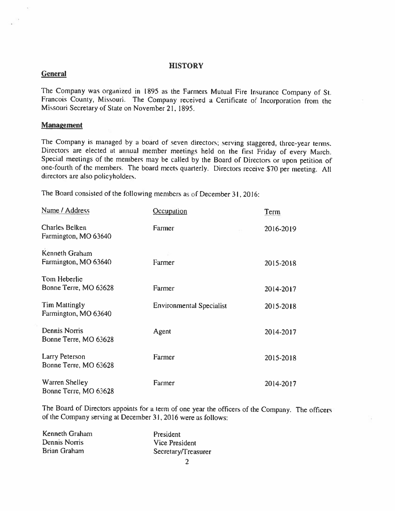#### **HISTORY**

#### **General**

The Company was organized in 1895 as the Farmers Mutual Fire Insurance Company of St. Francois County, Missouri. The Company received <sup>a</sup> Certificate of Incorporation from the Missouri Secretary of State on November 21, 1895.

#### **Management**

The Company is managed by <sup>a</sup> board of seven directors; serving staggered, three-year terms. Directors are elected at annual member meetings held on the first Friday of every March. Special meetings of the members may be culled by the Board of Directors or upon petition of one-fourth of the memher. The board meets quarterly. Directors receive \$70 per meeting. All directors are also policyholders.

The Board consisted of the following members as of December 31, 2016:

| Name / Address                                | Occupation                      | Term      |
|-----------------------------------------------|---------------------------------|-----------|
| Charles Belken<br>Farmington, MO 63640        | Farmer                          | 2016-2019 |
| Kenneth Graham<br>Farmington, MO 63640        | Farmer                          | 2015-2018 |
| Tom Heberlic<br>Bonne Terre, MO 63628         | Farmer                          | 2014-2017 |
| Tim Mattingly<br>Farmington, MO 63640         | <b>Environmental Specialist</b> | 2015-2018 |
| <b>Dennis Norris</b><br>Bonne Terre, MO 63628 | Agent                           | 2014-2017 |
| Larry Peterson<br>Bonne Terre, MO 63628       | Farmer                          | 2015-2018 |
| Warren Shelley<br>Bonne Terre, MO 63628       | Farmer                          | 2014-2017 |

The Board of Directors appoints for a term of one year the officers of the Company. The officers of the Company serving at December 31, 2016 were as follows:

| Kenneth Graham | President           |
|----------------|---------------------|
| Dennis Norris  | Vice President      |
| Brian Graham   | Secretary/Treasurer |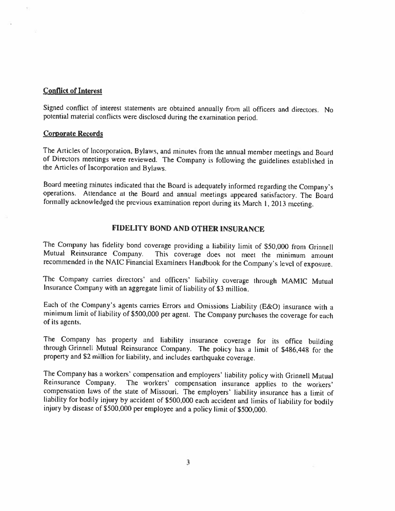#### Conflict of Interest

Signed conflict of interest statements are obtained annually from all officers and directors. No potential material conflicts were disclosed during the examination period.

#### Corporate Records

The Articles of Incorporation, Bylaws, and minutes from the annual member meetings and Board of Directors meetings were reviewed. The Company is following the guidelines established in the Articles of Incorporation and Bylaws.

Board meeting minutes indicated that the Board is adequately informed regarding the Company's operations. Attendance at the Board and annual meetings appeared satisfactory. The Board formally acknowledged the previous exam

#### FIDELITY BOND AND OTHER INSURANCE

The Company has fidelity bond coverage providing a liability limit of \$50,000 from Grinnell<br>Mutual Reinsurance Company. This coverage does not meet the minimum amount This coverage does not meet the minimum amount recommended in the NAIC Financial Examiners Handbook for the Company's level of exposure.

The Company carries directors' and officers' liability coverage through MAMIC Mutual Insurance Company with an aggregate limit of liability of \$3 million.

Each of the Company's agents carries Errors and Omissions Liability (E&O) insurance with <sup>a</sup> minimum limit of liability of \$500,000 per agent. The Company purchases the coverage for each of its agents.

The Company has property and liability insurance coverage for its office building through Grinnell Mutual Reinsurance Company. The policy has <sup>a</sup> limit of \$486,448 for the propery and \$2 million for liability, and includes earthquake coverage.

The Company has a workers' compensation and employers' liability policy with Grinnell Mutual<br>Reinsurance Company. The workers' compensation insurance applies to the workers' The workers' compensation insurance applies to the workers' compensation laws of the state of Missouri. The employers' liability insurance has <sup>a</sup> limit of liability for bodily injury by accident of \$500,000 each accident and limits of liability for bodily injury by disease of \$500,000 per employee and <sup>a</sup> policy limit of \$500,000.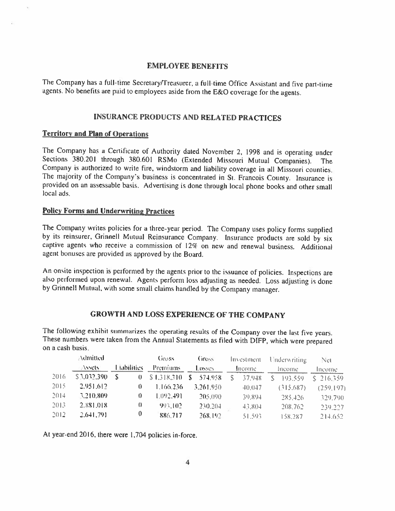#### EMPLOYEE BENEFITS

The Company has a full-time Secretary/Treasurer, a full-time Office Assistant and five part-time agents. No benefits are paid to employees aside from the E&O coverage for the agents.

#### LNSURANCE PRODUCTS AND RELATED PRACTICES

#### Territory and Plan of Operations

The Company has <sup>a</sup> Certificate of Authority dated November 2. <sup>1998</sup> and is operating under Sections 380.201 through 380.601 RSMo (Extended Missouri Mutual Companies). The Company is authorized to write fire, windstorm and liability coverage in all Missouri counties. The majority of the Company's business is concentrated in St. Francois County. Insurance is provided on an assessable basis. Advertising is done through local <sup>p</sup>hone books and other small local ads.

#### Policy Forms and Underwriting Practices

The Company writes policies for a three-year period. The Company uses policy forms supplied<br>by its reinsurer, Grinnell Mutual Reinsurance Company. Insurance products are sold by six<br>captive agents who receive a commission agent bonuses are provided as approved by the Board.

An onsite inspection is performed by the agents prior to the issuance of policies. Inspections are also performed upon renewal. Agents perform loss adjusting as needed. Loss adjusting is done by Grinnell Mutual, with some

### GROWTH AND LOSS EXPERIENCE OF THE COMPANY

The following exhibit summarizes the operating results of the Company over the last five years. These numbers were taken from the Annual Statements as filed with DIFP, which were prepared on <sup>a</sup> cash basis.

|      | Admitted    |                   |          | Gross.      | Gross            |   | Investment. | Underwriting | Net        |
|------|-------------|-------------------|----------|-------------|------------------|---|-------------|--------------|------------|
|      | Assets:     | <b>Lubilities</b> |          | Premiums:   | Losses           |   | Income.     | Income       | Income.    |
| 2016 | \$3,032,390 |                   | $\theta$ | \$1,318,310 | $-574.958$<br>S. | S | 37.948      | 193.559      | \$216,359  |
| 2015 | 2.951.612   |                   |          | 1.166.236   | 3,261,950        |   | $-40,047$   | (315,687)    | (259, 197) |
| 2014 | 3,210,809   |                   |          | 1.092.491   | 205,090          |   | 39,894      | 285.426      | 329,790    |
| 2013 | 2.881.018   |                   | Ð        | 993.102     | 230,204          |   | 43,804      | 208,762      | 239,227    |
| 2012 | 2.641,791   |                   | $\theta$ | 886.717     | 268.192          |   | 51.593      | 158,287      | 214.652    |

At year end 2016, there were 1,704 policies in-force.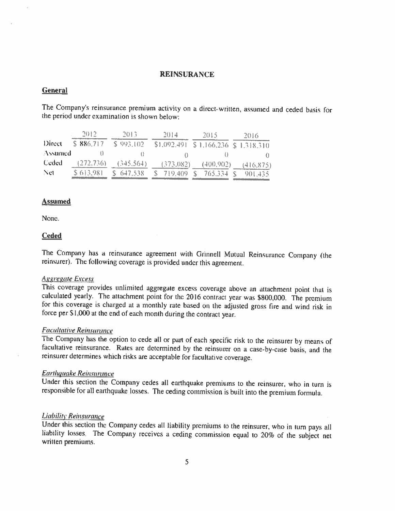#### REINSURANCE

#### **General**

The Company's reinsurance premium activity on <sup>a</sup> direct-written, assumed and ceded basis for the period under examination is shown below:

|         | -2012.     | 2013        | 2014                                   | 2015      | 2016       |
|---------|------------|-------------|----------------------------------------|-----------|------------|
| Direct  | \$886.717  | \$993,102   | $$1,092,491$ $$1,166,236$ $$1,318,310$ |           |            |
| Assumed |            |             |                                        |           |            |
| Ceded   | (272, 736) | (345.564)   | (373.082)                              | (400.902) | (416, 875) |
| Net     | \$613,981  | $S$ 647,538 | $$719,409$ S                           | 765.334 S | 901,435    |

#### **Assumed**

None.

#### Ceded

The Company has <sup>a</sup> reinsurance agreement with Ginnell Mutual Reinsurance Company (the reinsurer). The following coverage is provided under this agreement.

#### **Aggregate Excess**

This coverage provides unlimited aggregate excess coverage above an attachment point that is calculated yearly. The attachment point for the 2016 contract year was \$800,000. The premium for this coverage is charged at a mo force per 51.000 at the end of each month during the contract year.

Facultative Reinsurance<br>The Company has the option to cede all or part of each specific risk to the reinsurer by means of facultative reinsurance. Rates are determined by the reinsurer on a case-by-case basis, and the reinsurer determines which risks are acceptable for facultative coverage.

#### Earthquake Reinsurance

Under this section the Company cedes all earthquake premiums to the reinsurer, who in turn is responsible for all earthquake losses. The ceding commission is built into the premium formula.

**Liability Reinsurance**<br>Under this section the Company cedes all liability premiums to the reinsurer, who in turn pays all liability losses. The Company receives a ceding commission equal to 20% of the subject net written premiums.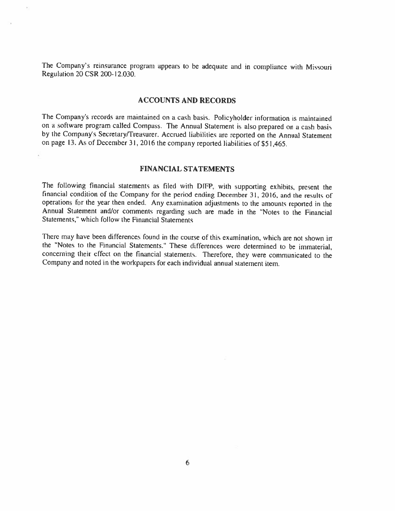The Company's reinsurance program appears to he adequate and in compliance with Missouri Regulation 20 CSR 200-12.030.

#### ACCOUNTS AND RECORDS

The Company's records are maintained on <sup>a</sup> cash basis. Policyholder information is maintained on a software program called Compass. The Annual Statement is also prepared on a cash basis by the Company's Secretary/Treasurer. Accrued liabilities are reported on the Annual Statement on page 13. As of December 31, 2016 the company reported liabilities of \$51,465.

#### FINANCIAL STATEMENTS

The following financial statements as filed with DIFP, with supporting exhibits, present the financial condition of the Company for the period ending December 31, 2016, and the results of operations for the year then ended. Any examination adjustments to the amounts reported in the Annual Statement and/or comments regarding such are made in the "Notes to the Financial Statements," which follow the Financial Statements

There may have been differences found in the course of this examination, which are not shown in the "Notes to the Financial Statements." These differences were determined to be immaterial, concerning their effect on the financial statements. Therefore, they were communicated to the Company and noted in the workpapers for each individual annual statement item.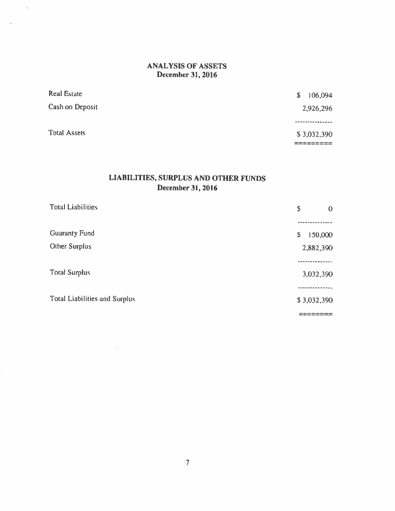# ANALYSIS OF ASSETS December 31, 2016

 $\tilde{\Sigma}$ 

 $\sim$ 

| Real Estate         | 106,094<br>S. |
|---------------------|---------------|
| Cash on Deposit     | 2,926,296     |
|                     | ------------  |
| <b>Total Assets</b> | \$3,032,390   |
|                     |               |

# LIABILITIES, SURPLUS AND OTHER FUNDS December 31, 2016

| <b>Total Liabilities</b>             | \$<br>$\mathbf{0}$ |
|--------------------------------------|--------------------|
|                                      |                    |
| <b>Guaranty Fund</b>                 | 150,000<br>\$      |
| Other Surplus                        | 2,882,390          |
|                                      |                    |
| <b>Total Surplus</b>                 | 3,032,390          |
|                                      |                    |
| <b>Total Liabilities and Surplus</b> | \$3,032,390        |
|                                      |                    |

 $\frac{1}{2}$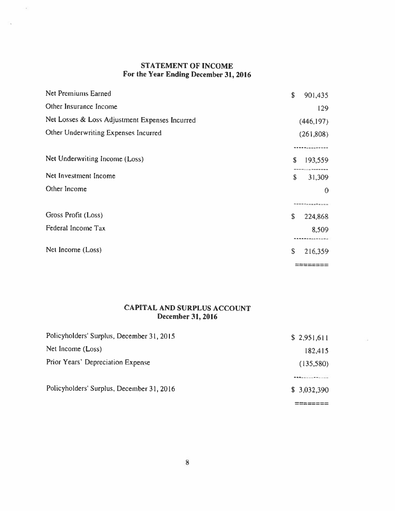# STATEMENT OF INCOME For the Year Ending December 31, 2016

 $\alpha'$ 

| <b>Net Premiums Earned</b>                     | \$<br>901,435    |
|------------------------------------------------|------------------|
| Other Insurance Income                         | 129              |
| Net Losses & Loss Adjustment Expenses Incurred | (446, 197)       |
| Other Underwriting Expenses Incurred           | (261,808)        |
|                                                |                  |
| Net Underwriting Income (Loss)                 | S<br>193,559     |
| Net Investment Income                          | \$<br>31,309     |
| Other Income                                   | $\theta$         |
|                                                | ---------------- |
| Gross Profit (Loss)                            | \$<br>224,868    |
| Federal Income Tax                             | 8,509            |
|                                                |                  |
| Net Income (Loss)                              | S<br>216,359     |
|                                                | ---------        |

# CAPITAL AND SURPLUS ACCOUNT December 31, 2016

| Policyholders' Surplus, December 31, 2015 | \$2,951,611 |
|-------------------------------------------|-------------|
| Net Income (Loss)                         | 182,415     |
| Prior Years' Depreciation Expense         | (135,580)   |
|                                           |             |
| Policyholders' Surplus, December 31, 2016 | \$3,032,390 |
|                                           |             |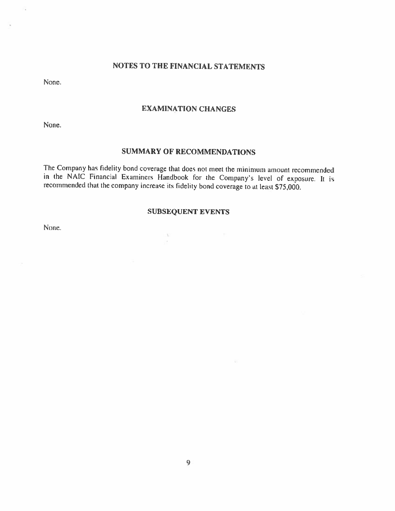#### NOTES TO THE FINANCiAL STATEMENTS

None.

Ñ,

v

#### EXAMINATION CHANGES

None.

### SUMMARY OF RECOMMENDATIONS

The Company has fidelity bond coverage that does not meet the minimum amount recommended in the NAIC Financial Examiners Handbook for the Company's level of exposure. It is recommended that the company increase its fidelity bond coverage to at least \$75,000.

### SUBSEQUENT EVENTS

 $\mathcal{N}$  $\sim$ 

 $\sim$ 

这

None.